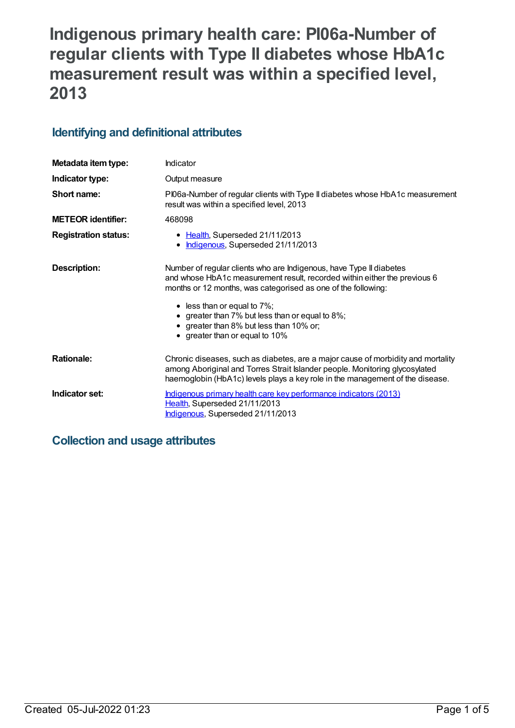# **Indigenous primary health care: PI06a-Number of regular clients with Type II diabetes whose HbA1c measurement result was within a specified level, 2013**

## **Identifying and definitional attributes**

| Metadata item type:         | Indicator                                                                                                                                                                                                                                        |
|-----------------------------|--------------------------------------------------------------------------------------------------------------------------------------------------------------------------------------------------------------------------------------------------|
| Indicator type:             | Output measure                                                                                                                                                                                                                                   |
| Short name:                 | PI06a-Number of regular clients with Type II diabetes whose HbA1c measurement<br>result was within a specified level, 2013                                                                                                                       |
| <b>METEOR</b> identifier:   | 468098                                                                                                                                                                                                                                           |
| <b>Registration status:</b> | • Health, Superseded 21/11/2013<br>Indigenous, Superseded 21/11/2013                                                                                                                                                                             |
| Description:                | Number of regular clients who are Indigenous, have Type II diabetes<br>and whose HbA1c measurement result, recorded within either the previous 6<br>months or 12 months, was categorised as one of the following:                                |
|                             | $\bullet$ less than or equal to 7%;<br>• greater than 7% but less than or equal to 8%;<br>• greater than 8% but less than 10% or;<br>• greater than or equal to 10%                                                                              |
| <b>Rationale:</b>           | Chronic diseases, such as diabetes, are a major cause of morbidity and mortality<br>among Aboriginal and Torres Strait Islander people. Monitoring glycosylated<br>haemoglobin (HbA1c) levels plays a key role in the management of the disease. |
| Indicator set:              | Indigenous primary health care key performance indicators (2013)<br>Health, Superseded 21/11/2013<br>Indigenous, Superseded 21/11/2013                                                                                                           |

## **Collection and usage attributes**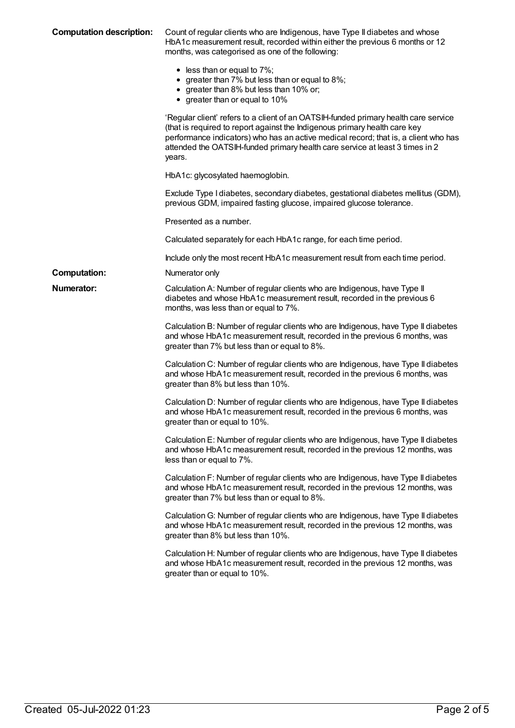| <b>Computation description:</b> | Count of regular clients who are Indigenous, have Type II diabetes and whose<br>HbA1c measurement result, recorded within either the previous 6 months or 12<br>months, was categorised as one of the following:                                                                                                                                   |
|---------------------------------|----------------------------------------------------------------------------------------------------------------------------------------------------------------------------------------------------------------------------------------------------------------------------------------------------------------------------------------------------|
|                                 | $\bullet$ less than or equal to 7%;<br>• greater than 7% but less than or equal to 8%;<br>• greater than 8% but less than 10% or;<br>• greater than or equal to 10%                                                                                                                                                                                |
|                                 | 'Regular client' refers to a client of an OATSIH-funded primary health care service<br>(that is required to report against the Indigenous primary health care key<br>performance indicators) who has an active medical record; that is, a client who has<br>attended the OATSIH-funded primary health care service at least 3 times in 2<br>years. |
|                                 | HbA1c: glycosylated haemoglobin.                                                                                                                                                                                                                                                                                                                   |
|                                 | Exclude Type I diabetes, secondary diabetes, gestational diabetes mellitus (GDM),<br>previous GDM, impaired fasting glucose, impaired glucose tolerance.                                                                                                                                                                                           |
|                                 | Presented as a number.                                                                                                                                                                                                                                                                                                                             |
|                                 | Calculated separately for each HbA1c range, for each time period.                                                                                                                                                                                                                                                                                  |
|                                 | Include only the most recent HbA1c measurement result from each time period.                                                                                                                                                                                                                                                                       |
| <b>Computation:</b>             | Numerator only                                                                                                                                                                                                                                                                                                                                     |
| <b>Numerator:</b>               | Calculation A: Number of regular clients who are Indigenous, have Type II<br>diabetes and whose HbA1c measurement result, recorded in the previous 6<br>months, was less than or equal to 7%.                                                                                                                                                      |
|                                 | Calculation B: Number of regular clients who are Indigenous, have Type II diabetes<br>and whose HbA1c measurement result, recorded in the previous 6 months, was<br>greater than 7% but less than or equal to 8%.                                                                                                                                  |
|                                 | Calculation C: Number of regular clients who are Indigenous, have Type II diabetes<br>and whose HbA1c measurement result, recorded in the previous 6 months, was<br>greater than 8% but less than 10%.                                                                                                                                             |
|                                 | Calculation D: Number of regular clients who are Indigenous, have Type II diabetes<br>and whose HbA1c measurement result, recorded in the previous 6 months, was<br>greater than or equal to 10%.                                                                                                                                                  |
|                                 | Calculation E: Number of regular clients who are Indigenous, have Type II diabetes<br>and whose HbA1c measurement result, recorded in the previous 12 months, was<br>less than or equal to 7%.                                                                                                                                                     |
|                                 | Calculation F: Number of regular clients who are Indigenous, have Type II diabetes<br>and whose HbA1c measurement result, recorded in the previous 12 months, was<br>greater than 7% but less than or equal to 8%.                                                                                                                                 |
|                                 | Calculation G: Number of regular clients who are Indigenous, have Type II diabetes<br>and whose HbA1c measurement result, recorded in the previous 12 months, was<br>greater than 8% but less than 10%.                                                                                                                                            |
|                                 | Calculation H: Number of regular clients who are Indigenous, have Type II diabetes<br>and whose HbA1c measurement result, recorded in the previous 12 months, was<br>greater than or equal to 10%.                                                                                                                                                 |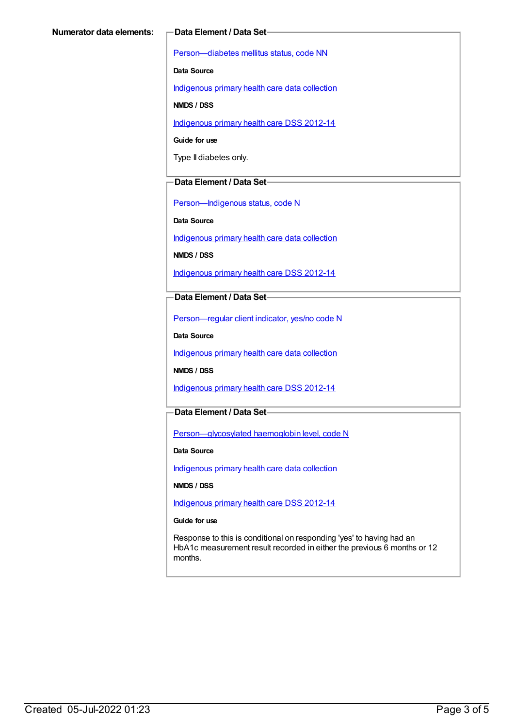[Person—diabetes](https://meteor.aihw.gov.au/content/270194) mellitus status, code NN

**Data Source**

[Indigenous](https://meteor.aihw.gov.au/content/430643) primary health care data collection

**NMDS / DSS**

[Indigenous](https://meteor.aihw.gov.au/content/430629) primary health care DSS 2012-14

**Guide for use**

Type II diabetes only.

#### **Data Element / Data Set**

[Person—Indigenous](https://meteor.aihw.gov.au/content/291036) status, code N

**Data Source**

[Indigenous](https://meteor.aihw.gov.au/content/430643) primary health care data collection

**NMDS / DSS**

[Indigenous](https://meteor.aihw.gov.au/content/430629) primary health care DSS 2012-14

**Data Element / Data Set**

[Person—regular](https://meteor.aihw.gov.au/content/436639) client indicator, yes/no code N

**Data Source**

[Indigenous](https://meteor.aihw.gov.au/content/430643) primary health care data collection

**NMDS / DSS**

[Indigenous](https://meteor.aihw.gov.au/content/430629) primary health care DSS 2012-14

#### **Data Element / Data Set**

[Person—glycosylated](https://meteor.aihw.gov.au/content/443631) haemoglobin level, code N

**Data Source**

[Indigenous](https://meteor.aihw.gov.au/content/430643) primary health care data collection

**NMDS / DSS**

[Indigenous](https://meteor.aihw.gov.au/content/430629) primary health care DSS 2012-14

**Guide for use**

Response to this is conditional on responding 'yes' to having had an HbA1c measurement result recorded in either the previous 6 months or 12 months.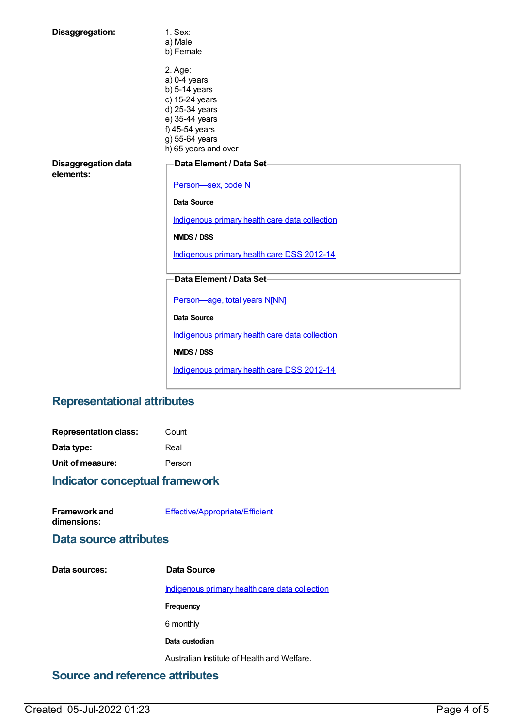| Disaggregation:                         | 1. Sex:<br>a) Male<br>b) Female                                                                                                                                |
|-----------------------------------------|----------------------------------------------------------------------------------------------------------------------------------------------------------------|
|                                         | 2. Age:<br>$a)$ 0-4 years<br>$b)$ 5-14 years<br>c) 15-24 years<br>d) 25-34 years<br>e) 35-44 years<br>f) 45-54 years<br>g) 55-64 years<br>h) 65 years and over |
| <b>Disaggregation data</b><br>elements: | Data Element / Data Set-<br>Person-sex, code N                                                                                                                 |
|                                         | Data Source                                                                                                                                                    |
|                                         | Indigenous primary health care data collection                                                                                                                 |
|                                         | NMDS / DSS                                                                                                                                                     |
|                                         | Indigenous primary health care DSS 2012-14                                                                                                                     |
|                                         | Data Element / Data Set-                                                                                                                                       |
|                                         | Person-age, total years N[NN]                                                                                                                                  |
|                                         | Data Source                                                                                                                                                    |
|                                         | Indigenous primary health care data collection                                                                                                                 |
|                                         | NMDS / DSS                                                                                                                                                     |
|                                         | Indigenous primary health care DSS 2012-14                                                                                                                     |

# **Representational attributes**

| <b>Representation class:</b> | Count  |
|------------------------------|--------|
| Data type:                   | Real   |
| Unit of measure:             | Person |

# **Indicator conceptual framework**

| <b>Framework and</b> | Effective/Appropriate/Efficient |
|----------------------|---------------------------------|
| dimensions:          |                                 |

## **Data source attributes**

| Indigenous primary health care data collection |
|------------------------------------------------|
|                                                |
|                                                |
|                                                |
|                                                |
|                                                |

# **Source and reference attributes**